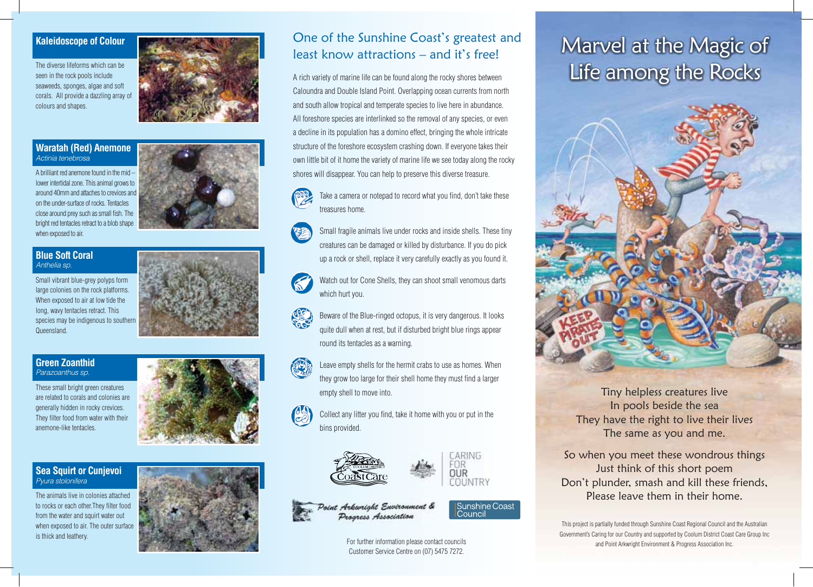### **Kaleidoscope of Colour**

The diverse lifeforms which can be seen in the rock pools include seaweeds, sponges, algae and soft corals. All provide a dazzling array of colours and shapes.



A brilliant red anemone found in the mid – lower intertidal zone. This animal grows to around 40mm and attaches to crevices and on the under-surface of rocks. Tentacles close around prey such as small fish. The bright red tentacles retract to a blob shape when exposed to air.

#### **Blue Soft Coral**  Anthelia sp.

Small vibrant blue-grey polyps form large colonies on the rock platforms. When exposed to air at low tide the long, wavy tentacles retract. This species may be indigenous to southern **Queensland** 

#### **Green Zoanthid**  Parazoanthus sp.

These small bright green creatures are related to corals and colonies are generally hidden in rocky crevices. They filter food from water with their anemone-like tentacles.

#### **Sea Squirt or Cunjevoi**  Pyura stolonifera

The animals live in colonies attached to rocks or each other.They filter food from the water and squirt water out when exposed to air. The outer surface is thick and leathery.



## One of the Sunshine Coast's greatest and least know attractions – and it's free!

A rich variety of marine life can be found along the rocky shores between Caloundra and Double Island Point. Overlapping ocean currents from north and south allow tropical and temperate species to live here in abundance. All foreshore species are interlinked so the removal of any species, or even a decline in its population has a domino effect, bringing the whole intricate structure of the foreshore ecosystem crashing down. If everyone takes their own little bit of it home the variety of marine life we see today along the rocky shores will disappear. You can help to preserve this diverse treasure.

Take a camera or notepad to record what you find, don't take these treasures home.



Small fragile animals live under rocks and inside shells. These tiny creatures can be damaged or killed by disturbance. If you do pick up a rock or shell, replace it very carefully exactly as you found it.

Watch out for Cone Shells, they can shoot small venomous darts which hurt you.

Beware of the Blue-ringed octopus, it is very dangerous. It looks quite dull when at rest, but if disturbed bright blue rings appear round its tentacles as a warning.



Leave empty shells for the hermit crabs to use as homes. When they grow too large for their shell home they must find a larger empty shell to move into.

Collect any litter you find, take it home with you or put in the bins provided.





**Sunshine Coast** Council



For further information please contact councils Customer Service Centre on (07) 5475 7272.

# Marvel at the Magic of Life among the Rocks



Tiny helpless creatures live In pools beside the sea They have the right to live their lives The same as you and me.

So when you meet these wondrous things Just think of this short poem Don't plunder, smash and kill these friends, Please leave them in their home.

This project is partially funded through Sunshine Coast Regional Council and the Australian Government's Caring for our Country and supported by Coolum District Coast Care Group Inc and Point Arkwright Environment & Progress Association Inc.